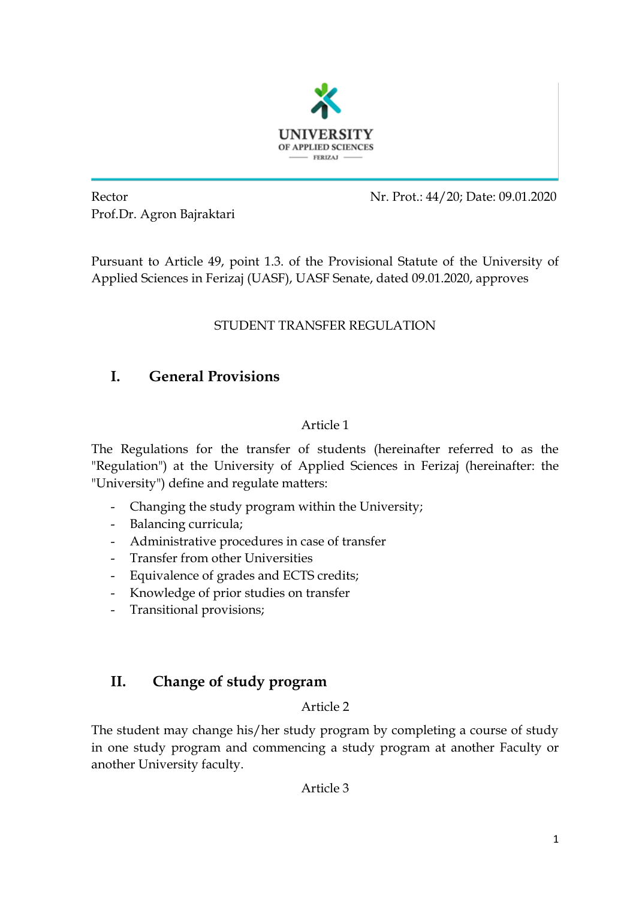

Prof.Dr. Agron Bajraktari

Rector Nr. Prot.: 44/20; Date: 09.01.2020

Pursuant to Article 49, point 1.3. of the Provisional Statute of the University of Applied Sciences in Ferizaj (UASF), UASF Senate, dated 09.01.2020, approves

### STUDENT TRANSFER REGULATION

# **I. General Provisions**

### Article 1

The Regulations for the transfer of students (hereinafter referred to as the "Regulation") at the University of Applied Sciences in Ferizaj (hereinafter: the "University") define and regulate matters:

- Changing the study program within the University;
- Balancing curricula;
- Administrative procedures in case of transfer
- Transfer from other Universities
- Equivalence of grades and ECTS credits;
- Knowledge of prior studies on transfer
- Transitional provisions;

# **II. Change of study program**

#### Article 2

The student may change his/her study program by completing a course of study in one study program and commencing a study program at another Faculty or another University faculty.

#### Article 3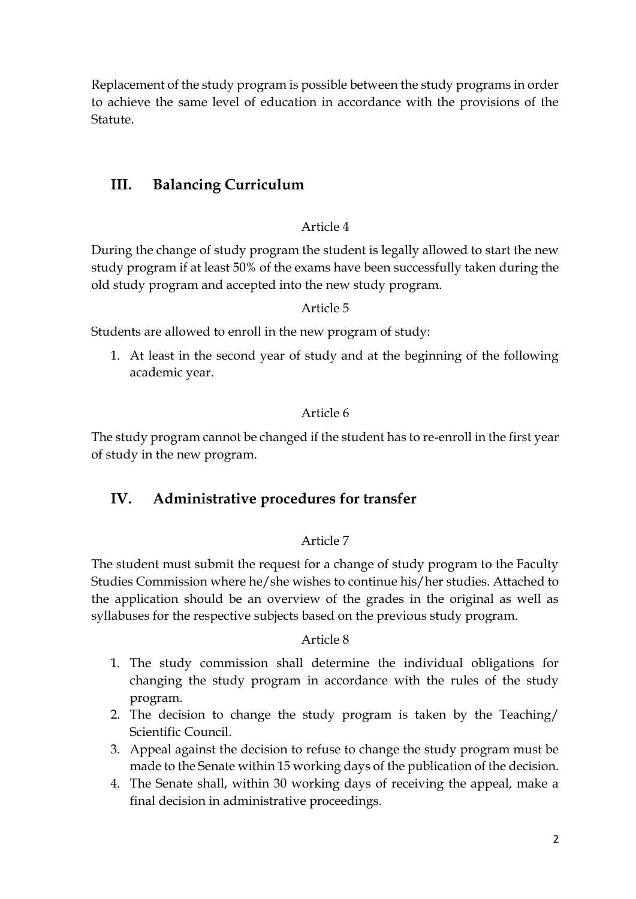Replacement of the study program is possible between the study programs in order to achieve the same level of education in accordance with the provisions of the Statute.

## **III. Balancing Curriculum**

#### Article 4

During the change of study program the student is legally allowed to start the new study program if at least 50% of the exams have been successfully taken during the old study program and accepted into the new study program.

#### Article 5

Students are allowed to enroll in the new program of study:

1. At least in the second year of study and at the beginning of the following academic year.

#### Article 6

The study program cannot be changed if the student has to re-enroll in the first year of study in the new program.

### **IV. Administrative procedures for transfer**

#### Article 7

The student must submit the request for a change of study program to the Faculty Studies Commission where he/she wishes to continue his/her studies. Attached to the application should be an overview of the grades in the original as well as syllabuses for the respective subjects based on the previous study program.

#### Article 8

- 1. The study commission shall determine the individual obligations for changing the study program in accordance with the rules of the study program.
- 2. The decision to change the study program is taken by the Teaching/ Scientific Council.
- 3. Appeal against the decision to refuse to change the study program must be made to the Senate within 15 working days of the publication of the decision.
- 4. The Senate shall, within 30 working days of receiving the appeal, make a final decision in administrative proceedings.